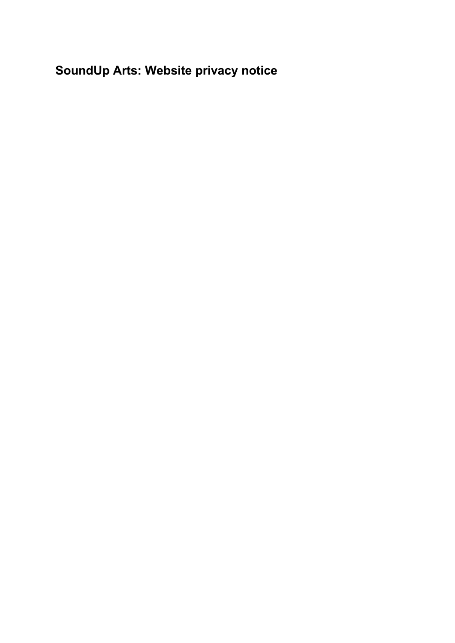**SoundUp Arts: Website privacy notice**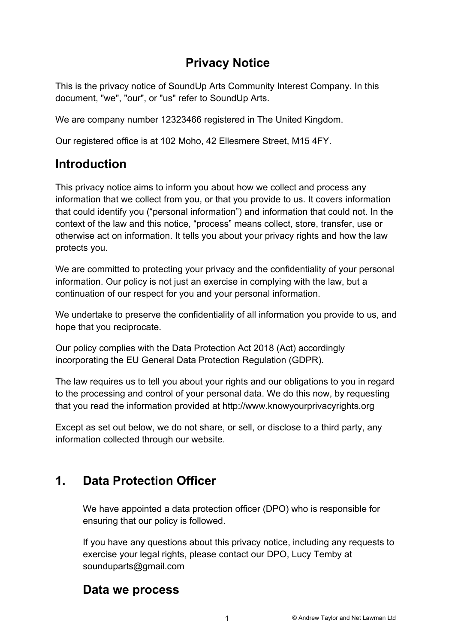# **Privacy Notice**

This is the privacy notice of SoundUp Arts Community Interest Company. In this document, "we", "our", or "us" refer to SoundUp Arts.

We are company number 12323466 registered in The United Kingdom.

Our registered office is at 102 Moho, 42 Ellesmere Street, M15 4FY.

# **Introduction**

This privacy notice aims to inform you about how we collect and process any information that we collect from you, or that you provide to us. It covers information that could identify you ("personal information") and information that could not. In the context of the law and this notice, "process" means collect, store, transfer, use or otherwise act on information. It tells you about your privacy rights and how the law protects you.

We are committed to protecting your privacy and the confidentiality of your personal information. Our policy is not just an exercise in complying with the law, but a continuation of our respect for you and your personal information.

We undertake to preserve the confidentiality of all information you provide to us, and hope that you reciprocate.

Our policy complies with the Data Protection Act 2018 (Act) accordingly incorporating the EU General Data Protection Regulation (GDPR).

The law requires us to tell you about your rights and our obligations to you in regard to the processing and control of your personal data. We do this now, by requesting that you read the information provided at http://www.knowyourprivacyrights.org

Except as set out below, we do not share, or sell, or disclose to a third party, any information collected through our website.

# **1. Data Protection Officer**

We have appointed a data protection officer (DPO) who is responsible for ensuring that our policy is followed.

If you have any questions about this privacy notice, including any requests to exercise your legal rights, please contact our DPO, Lucy Temby at sounduparts@gmail.com

### **Data we process**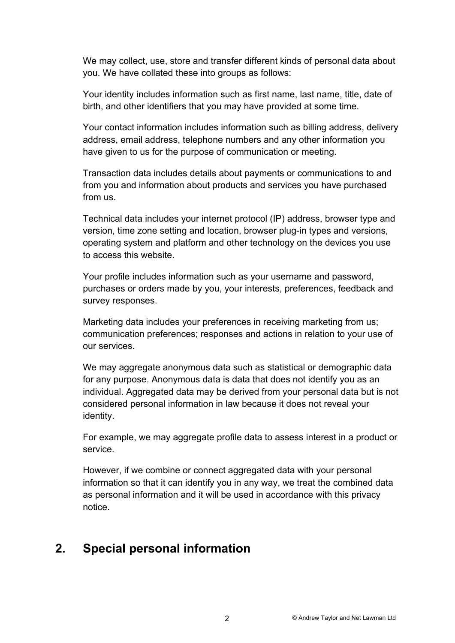We may collect, use, store and transfer different kinds of personal data about you. We have collated these into groups as follows:

Your identity includes information such as first name, last name, title, date of birth, and other identifiers that you may have provided at some time.

Your contact information includes information such as billing address, delivery address, email address, telephone numbers and any other information you have given to us for the purpose of communication or meeting.

Transaction data includes details about payments or communications to and from you and information about products and services you have purchased from us.

Technical data includes your internet protocol (IP) address, browser type and version, time zone setting and location, browser plug-in types and versions, operating system and platform and other technology on the devices you use to access this website.

Your profile includes information such as your username and password, purchases or orders made by you, your interests, preferences, feedback and survey responses.

Marketing data includes your preferences in receiving marketing from us; communication preferences; responses and actions in relation to your use of our services.

We may aggregate anonymous data such as statistical or demographic data for any purpose. Anonymous data is data that does not identify you as an individual. Aggregated data may be derived from your personal data but is not considered personal information in law because it does not reveal your identity.

For example, we may aggregate profile data to assess interest in a product or service.

However, if we combine or connect aggregated data with your personal information so that it can identify you in any way, we treat the combined data as personal information and it will be used in accordance with this privacy notice.

# **2. Special personal information**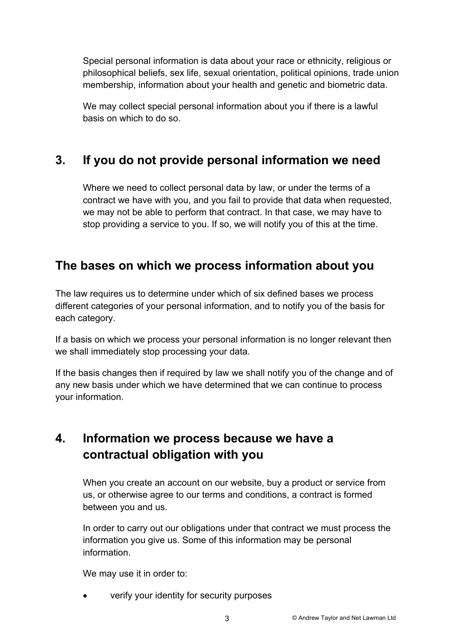Special personal information is data about your race or ethnicity, religious or philosophical beliefs, sex life, sexual orientation, political opinions, trade union membership, information about your health and genetic and biometric data.

We may collect special personal information about you if there is a lawful basis on which to do so.

# **3. If you do not provide personal information we need**

Where we need to collect personal data by law, or under the terms of a contract we have with you, and you fail to provide that data when requested, we may not be able to perform that contract. In that case, we may have to stop providing a service to you. If so, we will notify you of this at the time.

# **The bases on which we process information about you**

The law requires us to determine under which of six defined bases we process different categories of your personal information, and to notify you of the basis for each category.

If a basis on which we process your personal information is no longer relevant then we shall immediately stop processing your data.

If the basis changes then if required by law we shall notify you of the change and of any new basis under which we have determined that we can continue to process your information.

# **4. Information we process because we have a contractual obligation with you**

When you create an account on our website, buy a product or service from us, or otherwise agree to our terms and conditions, a contract is formed between you and us.

In order to carry out our obligations under that contract we must process the information you give us. Some of this information may be personal information.

We may use it in order to:

• verify your identity for security purposes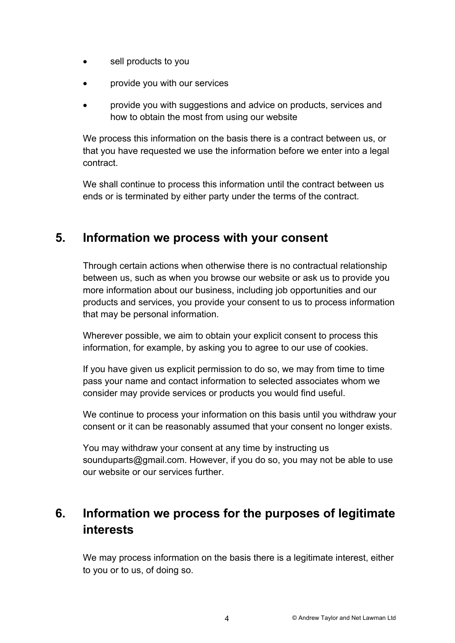- sell products to you
- provide you with our services
- provide you with suggestions and advice on products, services and how to obtain the most from using our website

We process this information on the basis there is a contract between us, or that you have requested we use the information before we enter into a legal contract.

We shall continue to process this information until the contract between us ends or is terminated by either party under the terms of the contract.

### **5. Information we process with your consent**

Through certain actions when otherwise there is no contractual relationship between us, such as when you browse our website or ask us to provide you more information about our business, including job opportunities and our products and services, you provide your consent to us to process information that may be personal information.

Wherever possible, we aim to obtain your explicit consent to process this information, for example, by asking you to agree to our use of cookies.

If you have given us explicit permission to do so, we may from time to time pass your name and contact information to selected associates whom we consider may provide services or products you would find useful.

We continue to process your information on this basis until you withdraw your consent or it can be reasonably assumed that your consent no longer exists.

You may withdraw your consent at any time by instructing us sounduparts@gmail.com. However, if you do so, you may not be able to use our website or our services further.

# **6. Information we process for the purposes of legitimate interests**

We may process information on the basis there is a legitimate interest, either to you or to us, of doing so.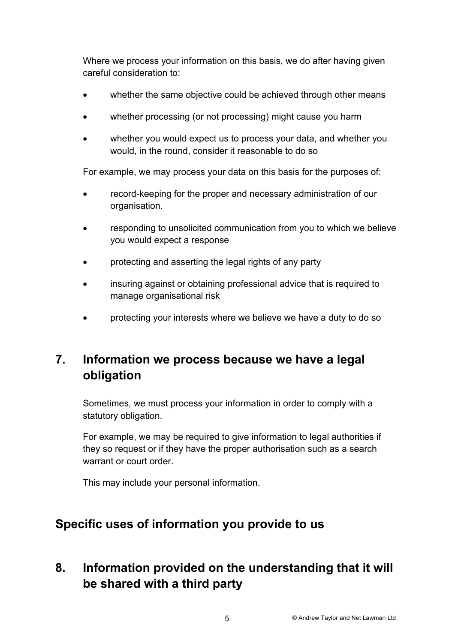Where we process your information on this basis, we do after having given careful consideration to:

- whether the same objective could be achieved through other means
- whether processing (or not processing) might cause you harm
- whether you would expect us to process your data, and whether you would, in the round, consider it reasonable to do so

For example, we may process your data on this basis for the purposes of:

- record-keeping for the proper and necessary administration of our organisation.
- responding to unsolicited communication from you to which we believe you would expect a response
- protecting and asserting the legal rights of any party
- insuring against or obtaining professional advice that is required to manage organisational risk
- protecting your interests where we believe we have a duty to do so

# **7. Information we process because we have a legal obligation**

Sometimes, we must process your information in order to comply with a statutory obligation.

For example, we may be required to give information to legal authorities if they so request or if they have the proper authorisation such as a search warrant or court order.

This may include your personal information.

### **Specific uses of information you provide to us**

# **8. Information provided on the understanding that it will be shared with a third party**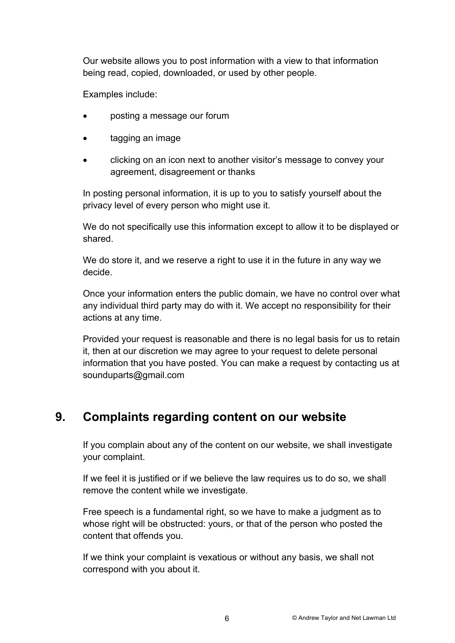Our website allows you to post information with a view to that information being read, copied, downloaded, or used by other people.

Examples include:

- posting a message our forum
- tagging an image
- clicking on an icon next to another visitor's message to convey your agreement, disagreement or thanks

In posting personal information, it is up to you to satisfy yourself about the privacy level of every person who might use it.

We do not specifically use this information except to allow it to be displayed or shared.

We do store it, and we reserve a right to use it in the future in any way we decide.

Once your information enters the public domain, we have no control over what any individual third party may do with it. We accept no responsibility for their actions at any time.

Provided your request is reasonable and there is no legal basis for us to retain it, then at our discretion we may agree to your request to delete personal information that you have posted. You can make a request by contacting us at sounduparts@gmail.com

# **9. Complaints regarding content on our website**

If you complain about any of the content on our website, we shall investigate your complaint.

If we feel it is justified or if we believe the law requires us to do so, we shall remove the content while we investigate.

Free speech is a fundamental right, so we have to make a judgment as to whose right will be obstructed: yours, or that of the person who posted the content that offends you.

If we think your complaint is vexatious or without any basis, we shall not correspond with you about it.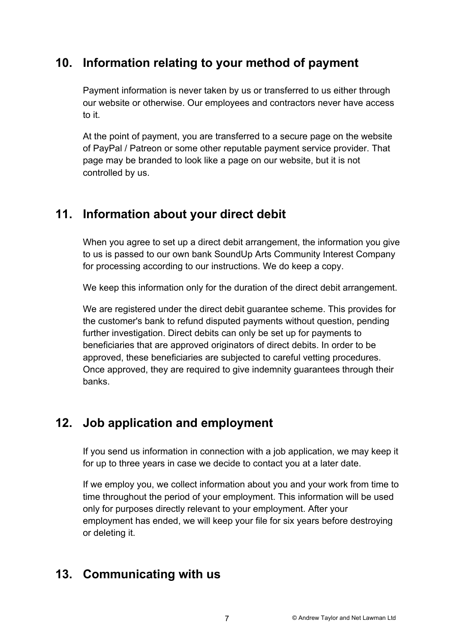# **10. Information relating to your method of payment**

Payment information is never taken by us or transferred to us either through our website or otherwise. Our employees and contractors never have access to it.

At the point of payment, you are transferred to a secure page on the website of PayPal / Patreon or some other reputable payment service provider. That page may be branded to look like a page on our website, but it is not controlled by us.

# **11. Information about your direct debit**

When you agree to set up a direct debit arrangement, the information you give to us is passed to our own bank SoundUp Arts Community Interest Company for processing according to our instructions. We do keep a copy.

We keep this information only for the duration of the direct debit arrangement.

We are registered under the direct debit guarantee scheme. This provides for the customer's bank to refund disputed payments without question, pending further investigation. Direct debits can only be set up for payments to beneficiaries that are approved originators of direct debits. In order to be approved, these beneficiaries are subjected to careful vetting procedures. Once approved, they are required to give indemnity guarantees through their banks.

# **12. Job application and employment**

If you send us information in connection with a job application, we may keep it for up to three years in case we decide to contact you at a later date.

If we employ you, we collect information about you and your work from time to time throughout the period of your employment. This information will be used only for purposes directly relevant to your employment. After your employment has ended, we will keep your file for six years before destroying or deleting it.

# **13. Communicating with us**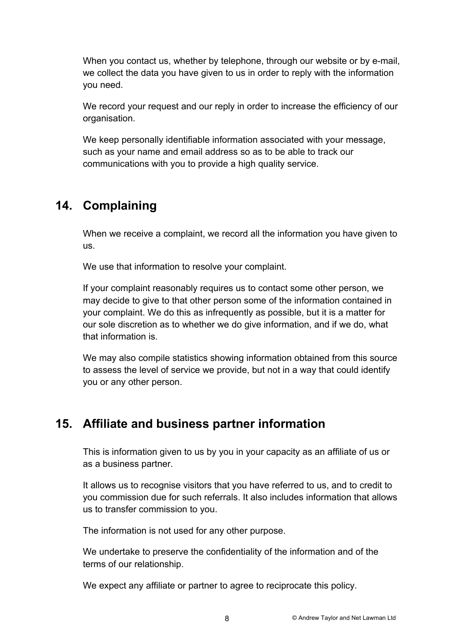When you contact us, whether by telephone, through our website or by e-mail, we collect the data you have given to us in order to reply with the information you need.

We record your request and our reply in order to increase the efficiency of our organisation.

We keep personally identifiable information associated with your message, such as your name and email address so as to be able to track our communications with you to provide a high quality service.

# **14. Complaining**

When we receive a complaint, we record all the information you have given to us.

We use that information to resolve your complaint.

If your complaint reasonably requires us to contact some other person, we may decide to give to that other person some of the information contained in your complaint. We do this as infrequently as possible, but it is a matter for our sole discretion as to whether we do give information, and if we do, what that information is.

We may also compile statistics showing information obtained from this source to assess the level of service we provide, but not in a way that could identify you or any other person.

# **15. Affiliate and business partner information**

This is information given to us by you in your capacity as an affiliate of us or as a business partner.

It allows us to recognise visitors that you have referred to us, and to credit to you commission due for such referrals. It also includes information that allows us to transfer commission to you.

The information is not used for any other purpose.

We undertake to preserve the confidentiality of the information and of the terms of our relationship.

We expect any affiliate or partner to agree to reciprocate this policy.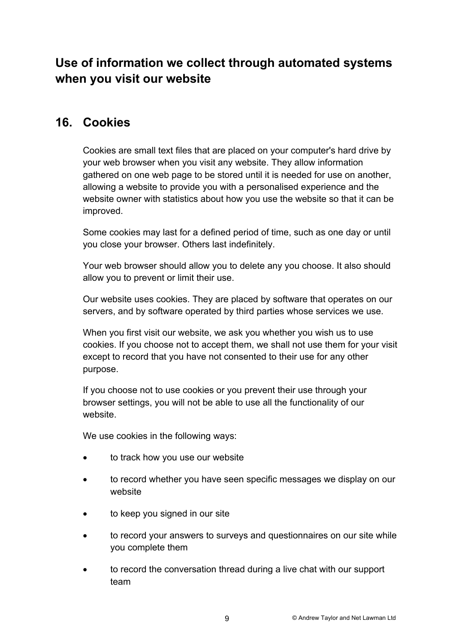# **Use of information we collect through automated systems when you visit our website**

### **16. Cookies**

Cookies are small text files that are placed on your computer's hard drive by your web browser when you visit any website. They allow information gathered on one web page to be stored until it is needed for use on another, allowing a website to provide you with a personalised experience and the website owner with statistics about how you use the website so that it can be improved.

Some cookies may last for a defined period of time, such as one day or until you close your browser. Others last indefinitely.

Your web browser should allow you to delete any you choose. It also should allow you to prevent or limit their use.

Our website uses cookies. They are placed by software that operates on our servers, and by software operated by third parties whose services we use.

When you first visit our website, we ask you whether you wish us to use cookies. If you choose not to accept them, we shall not use them for your visit except to record that you have not consented to their use for any other purpose.

If you choose not to use cookies or you prevent their use through your browser settings, you will not be able to use all the functionality of our website.

We use cookies in the following ways:

- to track how you use our website
- to record whether you have seen specific messages we display on our website
- to keep you signed in our site
- to record your answers to surveys and questionnaires on our site while you complete them
- to record the conversation thread during a live chat with our support team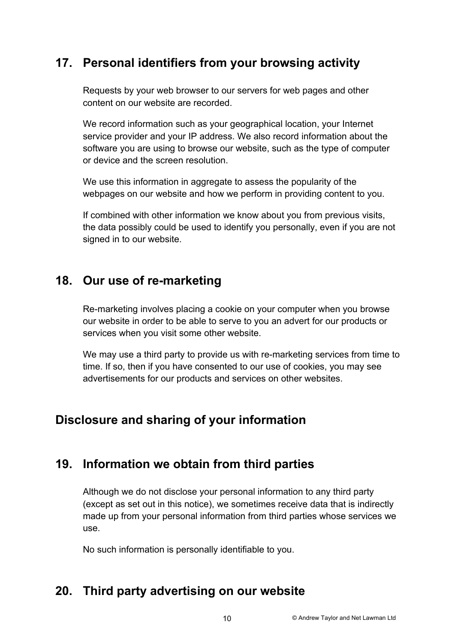# **17. Personal identifiers from your browsing activity**

Requests by your web browser to our servers for web pages and other content on our website are recorded.

We record information such as your geographical location, your Internet service provider and your IP address. We also record information about the software you are using to browse our website, such as the type of computer or device and the screen resolution.

We use this information in aggregate to assess the popularity of the webpages on our website and how we perform in providing content to you.

If combined with other information we know about you from previous visits, the data possibly could be used to identify you personally, even if you are not signed in to our website.

# **18. Our use of re-marketing**

Re-marketing involves placing a cookie on your computer when you browse our website in order to be able to serve to you an advert for our products or services when you visit some other website.

We may use a third party to provide us with re-marketing services from time to time. If so, then if you have consented to our use of cookies, you may see advertisements for our products and services on other websites.

# **Disclosure and sharing of your information**

### **19. Information we obtain from third parties**

Although we do not disclose your personal information to any third party (except as set out in this notice), we sometimes receive data that is indirectly made up from your personal information from third parties whose services we use.

No such information is personally identifiable to you.

# **20. Third party advertising on our website**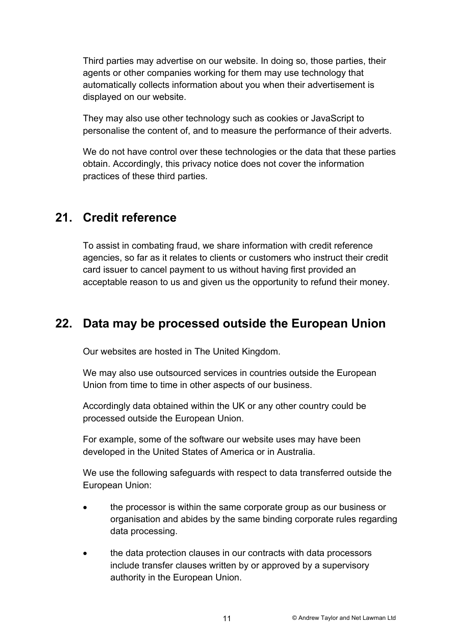Third parties may advertise on our website. In doing so, those parties, their agents or other companies working for them may use technology that automatically collects information about you when their advertisement is displayed on our website.

They may also use other technology such as cookies or JavaScript to personalise the content of, and to measure the performance of their adverts.

We do not have control over these technologies or the data that these parties obtain. Accordingly, this privacy notice does not cover the information practices of these third parties.

### **21. Credit reference**

To assist in combating fraud, we share information with credit reference agencies, so far as it relates to clients or customers who instruct their credit card issuer to cancel payment to us without having first provided an acceptable reason to us and given us the opportunity to refund their money.

### **22. Data may be processed outside the European Union**

Our websites are hosted in The United Kingdom.

We may also use outsourced services in countries outside the European Union from time to time in other aspects of our business.

Accordingly data obtained within the UK or any other country could be processed outside the European Union.

For example, some of the software our website uses may have been developed in the United States of America or in Australia.

We use the following safeguards with respect to data transferred outside the European Union:

- the processor is within the same corporate group as our business or organisation and abides by the same binding corporate rules regarding data processing.
- the data protection clauses in our contracts with data processors include transfer clauses written by or approved by a supervisory authority in the European Union.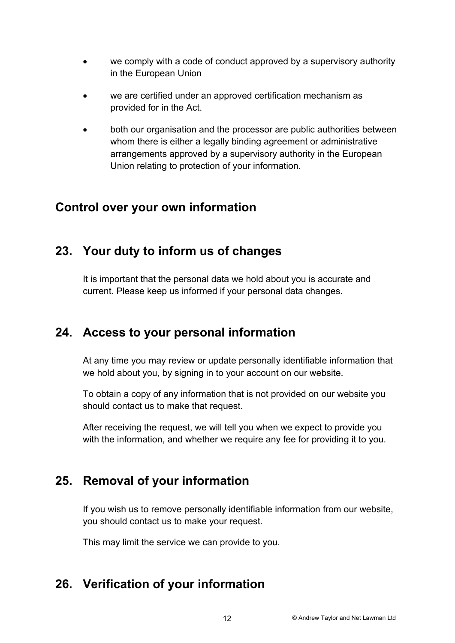- we comply with a code of conduct approved by a supervisory authority in the European Union
- we are certified under an approved certification mechanism as provided for in the Act.
- both our organisation and the processor are public authorities between whom there is either a legally binding agreement or administrative arrangements approved by a supervisory authority in the European Union relating to protection of your information.

### **Control over your own information**

### **23. Your duty to inform us of changes**

It is important that the personal data we hold about you is accurate and current. Please keep us informed if your personal data changes.

### **24. Access to your personal information**

At any time you may review or update personally identifiable information that we hold about you, by signing in to your account on our website.

To obtain a copy of any information that is not provided on our website you should contact us to make that request.

After receiving the request, we will tell you when we expect to provide you with the information, and whether we require any fee for providing it to you.

### **25. Removal of your information**

If you wish us to remove personally identifiable information from our website, you should contact us to make your request.

This may limit the service we can provide to you.

# **26. Verification of your information**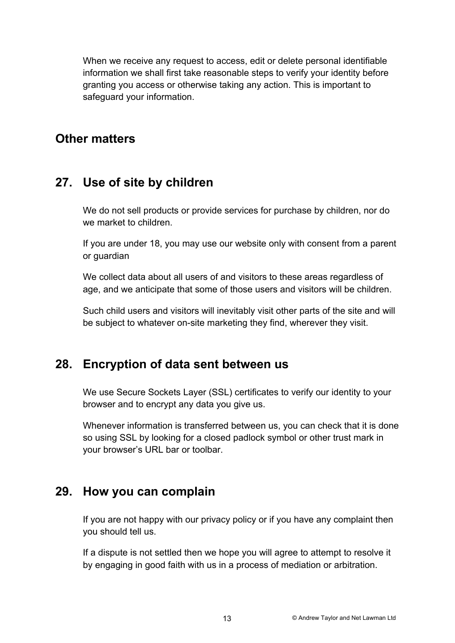When we receive any request to access, edit or delete personal identifiable information we shall first take reasonable steps to verify your identity before granting you access or otherwise taking any action. This is important to safeguard your information.

### **Other matters**

### **27. Use of site by children**

We do not sell products or provide services for purchase by children, nor do we market to children.

If you are under 18, you may use our website only with consent from a parent or guardian

We collect data about all users of and visitors to these areas regardless of age, and we anticipate that some of those users and visitors will be children.

Such child users and visitors will inevitably visit other parts of the site and will be subject to whatever on-site marketing they find, wherever they visit.

# **28. Encryption of data sent between us**

We use Secure Sockets Layer (SSL) certificates to verify our identity to your browser and to encrypt any data you give us.

Whenever information is transferred between us, you can check that it is done so using SSL by looking for a closed padlock symbol or other trust mark in your browser's URL bar or toolbar.

### **29. How you can complain**

If you are not happy with our privacy policy or if you have any complaint then you should tell us.

If a dispute is not settled then we hope you will agree to attempt to resolve it by engaging in good faith with us in a process of mediation or arbitration.